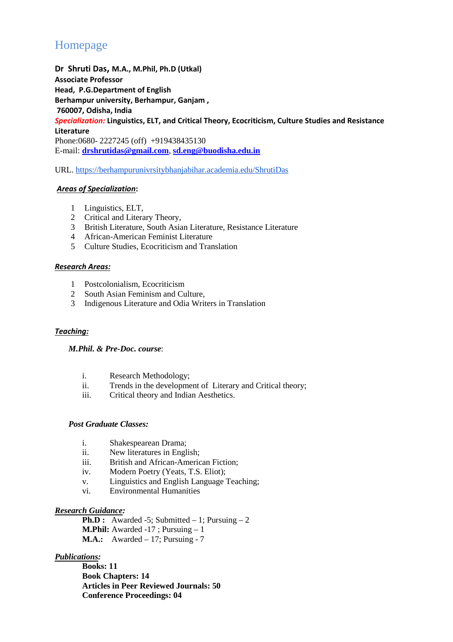# Homepage

**Dr Shruti Das, M.A., M.Phil, Ph.D (Utkal) Associate Professor Head, P.G.Department of English Berhampur university, Berhampur, Ganjam , 760007, Odisha, India**  *Specialization:* **Linguistics, ELT, and Critical Theory, Ecocriticism, Culture Studies and Resistance Literature**  Phone:0680- 2227245 (off) +919438435130 E-mail: **drshrutidas@gmail.com**, **sd.eng@buodisha.edu.in**

URL. https://berhampurunivrsitybhanjabihar.academia.edu/ShrutiDas

## *Areas of Specialization***:**

- 1 Linguistics, ELT,
- 2 Critical and Literary Theory,
- 3 British Literature, South Asian Literature, Resistance Literature
- 4 African-American Feminist Literature
- 5 Culture Studies, Ecocriticism and Translation

## *Research Areas:*

- 1 Postcolonialism, Ecocriticism
- 2 South Asian Feminism and Culture,
- 3 Indigenous Literature and Odia Writers in Translation

## *Teaching:*

## *M.Phil. & Pre-Doc. course*:

- i. Research Methodology;
- ii. Trends in the development of Literary and Critical theory;
- iii. Critical theory and Indian Aesthetics.

## *Post Graduate Classes:*

- i. Shakespearean Drama;
- ii. New literatures in English;
- iii. British and African-American Fiction;
- iv. Modern Poetry (Yeats, T.S. Eliot);
- v. Linguistics and English Language Teaching;
- vi. Environmental Humanities

## *Research Guidance:*

**Ph.D :** Awarded -5; Submitted  $-1$ ; Pursuing  $-2$ **M.Phil:** Awarded -17 ; Pursuing – 1 **M.A.:** Awarded – 17; Pursuing - 7

## *Publications:*

**Books: 11 Book Chapters: 14 Articles in Peer Reviewed Journals: 50 Conference Proceedings: 04**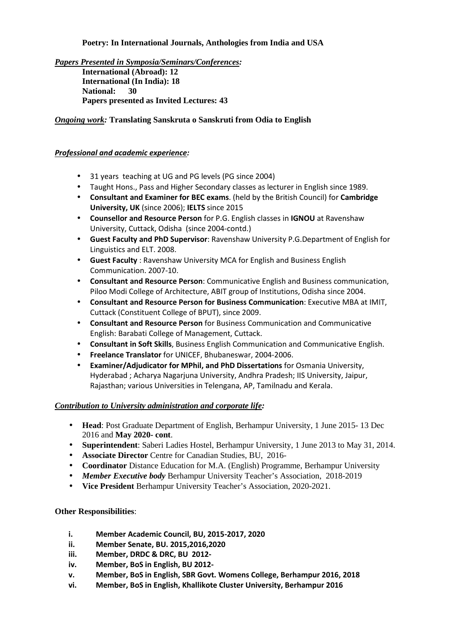## **Poetry: In International Journals, Anthologies from India and USA**

*Papers Presented in Symposia/Seminars/Conferences:*  **International (Abroad): 12 International (In India): 18 National: 30 Papers presented as Invited Lectures: 43** 

## *Ongoing work:* **Translating Sanskruta o Sanskruti from Odia to English**

## *Professional and academic experience:*

- 31 years teaching at UG and PG levels (PG since 2004)
- Taught Hons., Pass and Higher Secondary classes as lecturer in English since 1989.
- **Consultant and Examiner for BEC exams**. (held by the British Council) for **Cambridge University, UK** (since 2006); **IELTS** since 2015
- **Counsellor and Resource Person** for P.G. English classes in **IGNOU** at Ravenshaw University, Cuttack, Odisha (since 2004-contd.)
- **Guest Faculty and PhD Supervisor**: Ravenshaw University P.G.Department of English for Linguistics and ELT. 2008.
- **Guest Faculty** : Ravenshaw University MCA for English and Business English Communication. 2007-10.
- **Consultant and Resource Person**: Communicative English and Business communication, Piloo Modi College of Architecture, ABIT group of Institutions, Odisha since 2004.
- **Consultant and Resource Person for Business Communication**: Executive MBA at IMIT, Cuttack (Constituent College of BPUT), since 2009.
- **Consultant and Resource Person** for Business Communication and Communicative English: Barabati College of Management, Cuttack.
- **Consultant in Soft Skills**, Business English Communication and Communicative English.
- **Freelance Translator** for UNICEF, Bhubaneswar, 2004-2006.
- **Examiner/Adjudicator for MPhil, and PhD Dissertations** for Osmania University, Hyderabad ; Acharya Nagarjuna University, Andhra Pradesh; IIS University, Jaipur, Rajasthan; various Universities in Telengana, AP, Tamilnadu and Kerala.

## *Contribution to University administration and corporate life:*

- **Head**: Post Graduate Department of English, Berhampur University, 1 June 2015- 13 Dec 2016 and **May 2020- cont**.
- **Superintendent**: Saberi Ladies Hostel, Berhampur University, 1 June 2013 to May 31, 2014.
- **Associate Director** Centre for Canadian Studies, BU, 2016-
- **Coordinator** Distance Education for M.A. (English) Programme, Berhampur University
- *Member Executive body* Berhampur University Teacher's Association, 2018-2019
- **Vice President** Berhampur University Teacher's Association, 2020-2021.

## **Other Responsibilities**:

- **i. Member Academic Council, BU, 2015-2017, 2020**
- **ii. Member Senate, BU. 2015,2016,2020**
- **iii. Member, DRDC & DRC, BU 2012-**
- **iv. Member, BoS in English, BU 2012-**
- **v. Member, BoS in English, SBR Govt. Womens College, Berhampur 2016, 2018**
- **vi. Member, BoS in English, Khallikote Cluster University, Berhampur 2016**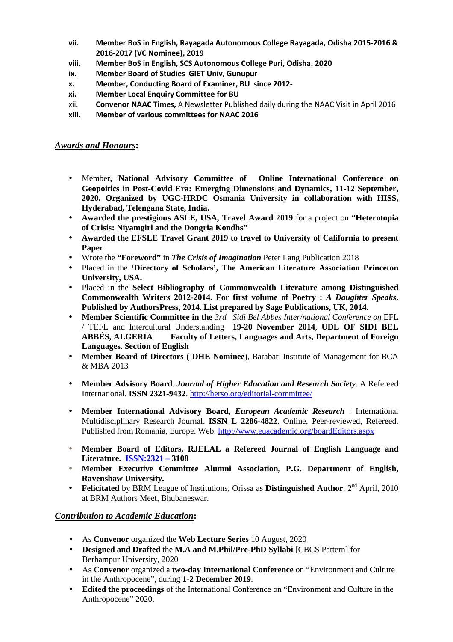- **vii. Member BoS in English, Rayagada Autonomous College Rayagada, Odisha 2015-2016 & 2016-2017 (VC Nominee), 2019**
- **viii. Member BoS in English, SCS Autonomous College Puri, Odisha. 2020**
- **ix. Member Board of Studies GIET Univ, Gunupur**
- **x. Member, Conducting Board of Examiner, BU since 2012-**
- **xi. Member Local Enquiry Committee for BU**
- xii. **Convenor NAAC Times,** A Newsletter Published daily during the NAAC Visit in April 2016
- **xiii. Member of various committees for NAAC 2016**

## *Awards and Honours***:**

- Member**, National Advisory Committee of Online International Conference on Geopoitics in Post-Covid Era: Emerging Dimensions and Dynamics, 11-12 September, 2020. Organized by UGC-HRDC Osmania University in collaboration with HISS, Hyderabad, Telengana State, India.**
- **Awarded the prestigious ASLE, USA, Travel Award 2019** for a project on **"Heterotopia of Crisis: Niyamgiri and the Dongria Kondhs"**
- **Awarded the EFSLE Travel Grant 2019 to travel to University of California to present Paper**
- Wrote the **"Foreword"** in *The Crisis of Imagination* Peter Lang Publication 2018
- Placed in the **'Directory of Scholars', The American Literature Association Princeton University, USA.**
- Placed in the **Select Bibliography of Commonwealth Literature among Distinguished Commonwealth Writers 2012-2014. For first volume of Poetry :** *A Daughter Speaks***. Published by AuthorsPress, 2014. List prepared by Sage Publications, UK, 2014.**
- **Member Scientific Committee in the** *3rd Sidi Bel Abbes Inter/national Conference on* EFL / TEFL and Intercultural Understanding **19-20 November 2014**, **UDL OF SIDI BEL ABBÉS, ALGERIA Faculty of Letters, Languages and Arts, Department of Foreign Languages. Section of English**
- **Member Board of Directors ( DHE Nominee**), Barabati Institute of Management for BCA & MBA 2013
- **Member Advisory Board**. *Journal of Higher Education and Research Society*. A Refereed International. **ISSN 2321-9432**. http://herso.org/editorial-committee/
- **Member International Advisory Board**, *European Academic Research* : International Multidisciplinary Research Journal. **ISSN L 2286-4822**. Online, Peer-reviewed, Refereed. Published from Romania, Europe. Web. http://www.euacademic.org/boardEditors.aspx
- **Member Board of Editors, RJELAL a Refereed Journal of English Language and Literature. ISSN:2321 – 3108**
- **Member Executive Committee Alumni Association, P.G. Department of English, Ravenshaw University.**
- **Felicitated** by BRM League of Institutions, Orissa as **Distinguished Author**.  $2^{nd}$  April, 2010 at BRM Authors Meet, Bhubaneswar.

## *Contribution to Academic Education***:**

- As **Convenor** organized the **Web Lecture Series** 10 August, 2020
- **Designed and Drafted** the **M.A and M.Phil/Pre-PhD Syllabi** [CBCS Pattern] for Berhampur University, 2020
- As **Convenor** organized a **two-day International Conference** on "Environment and Culture in the Anthropocene", during **1-2 December 2019**.
- **Edited the proceedings** of the International Conference on "Environment and Culture in the Anthropocene" 2020.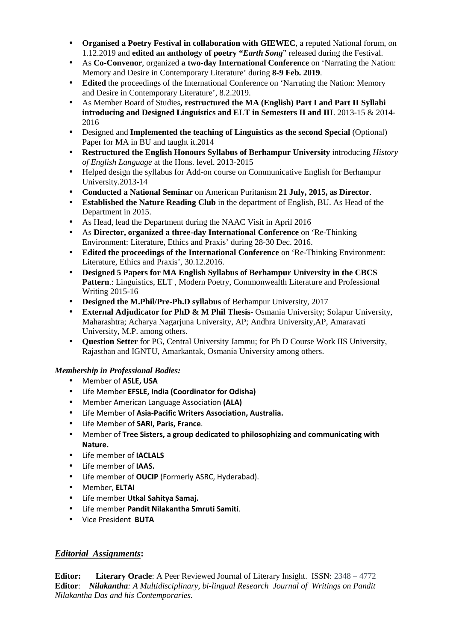- **Organised a Poetry Festival in collaboration with GIEWEC**, a reputed National forum, on 1.12.2019 and **edited an anthology of poetry "***Earth Song*" released during the Festival.
- As **Co-Convenor**, organized **a two-day International Conference** on 'Narrating the Nation: Memory and Desire in Contemporary Literature' during **8-9 Feb. 2019**.
- **Edited** the proceedings of the International Conference on 'Narrating the Nation: Memory and Desire in Contemporary Literature', 8.2.2019.
- As Member Board of Studies**, restructured the MA (English) Part I and Part II Syllabi introducing and Designed Linguistics and ELT in Semesters II and III**. 2013-15 & 2014- 2016
- Designed and **Implemented the teaching of Linguistics as the second Special** (Optional) Paper for MA in BU and taught it.2014
- **Restructured the English Honours Syllabus of Berhampur University** introducing *History of English Language* at the Hons. level. 2013-2015
- Helped design the syllabus for Add-on course on Communicative English for Berhampur University.2013-14
- **Conducted a National Seminar** on American Puritanism **21 July, 2015, as Director**.
- **Established the Nature Reading Club** in the department of English, BU. As Head of the Department in 2015.
- As Head, lead the Department during the NAAC Visit in April 2016
- As **Director, organized a three-day International Conference** on 'Re-Thinking Environment: Literature, Ethics and Praxis' during 28-30 Dec. 2016.
- **Edited the proceedings of the International Conference** on 'Re-Thinking Environment: Literature, Ethics and Praxis', 30.12.2016.
- **Designed 5 Papers for MA English Syllabus of Berhampur University in the CBCS**  Pattern.: Linguistics, ELT, Modern Poetry, Commonwealth Literature and Professional Writing 2015-16
- **Designed the M.Phil/Pre-Ph.D syllabus** of Berhampur University, 2017
- **External Adjudicator for PhD & M Phil Thesis** Osmania University; Solapur University, Maharashtra; Acharya Nagarjuna University, AP; Andhra University,AP, Amaravati University, M.P. among others.
- **Question Setter** for PG, Central University Jammu; for Ph D Course Work IIS University, Rajasthan and IGNTU, Amarkantak, Osmania University among others.

## *Membership in Professional Bodies:*

- Member of **ASLE, USA**
- Life Member **EFSLE, India (Coordinator for Odisha)**
- Member American Language Association **(ALA)**
- Life Member of **Asia-Pacific Writers Association, Australia.**
- Life Member of **SARI, Paris, France**.
- Member of **Tree Sisters, a group dedicated to philosophizing and communicating with Nature.**
- Life member of **IACLALS**
- Life member of **IAAS.**
- Life member of **OUCIP** (Formerly ASRC, Hyderabad).
- Member, **ELTAI**
- Life member **Utkal Sahitya Samaj.**
- Life member **Pandit Nilakantha Smruti Samiti**.
- Vice President **BUTA**

## *Editorial Assignments***:**

**Editor: Literary Oracle**: A Peer Reviewed Journal of Literary Insight. ISSN: 2348 – 4772 **Editor**: *Nilakantha: A Multidisciplinary, bi-lingual Research Journal of Writings on Pandit Nilakantha Das and his Contemporaries.*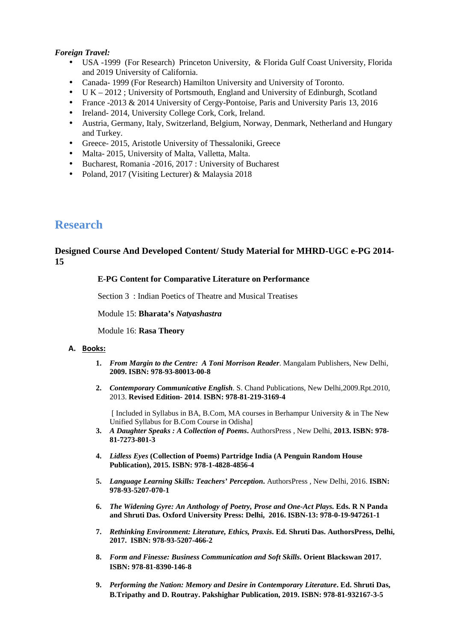## *Foreign Travel:*

- USA -1999 (For Research) Princeton University, & Florida Gulf Coast University, Florida and 2019 University of California.
- Canada- 1999 (For Research) Hamilton University and University of Toronto.
- $UK 2012$ ; University of Portsmouth, England and University of Edinburgh, Scotland
- France -2013 & 2014 University of Cergy-Pontoise, Paris and University Paris 13, 2016
- Ireland- 2014, University College Cork, Cork, Ireland.
- Austria, Germany, Italy, Switzerland, Belgium, Norway, Denmark, Netherland and Hungary and Turkey.
- Greece- 2015, Aristotle University of Thessaloniki, Greece
- Malta- 2015, University of Malta, Valletta, Malta.
- Bucharest, Romania -2016, 2017 : University of Bucharest
- Poland, 2017 (Visiting Lecturer) & Malaysia 2018

## **Research**

## **Designed Course And Developed Content/ Study Material for MHRD-UGC e-PG 2014- 15**

## **E-PG Content for Comparative Literature on Performance**

Section 3 : Indian Poetics of Theatre and Musical Treatises

Module 15: **Bharata's** *Natyashastra*

Module 16: **Rasa Theory** 

#### **A. Books:**

- **1.** *From Margin to the Centre: A Toni Morrison Reader*. Mangalam Publishers, New Delhi, **2009. ISBN: 978-93-80013-00-8**
- **2.** *Contemporary Communicative English*. S. Chand Publications, New Delhi,2009.Rpt.2010, 2013. **Revised Edition- 2014**. **ISBN: 978-81-219-3169-4**

 $\int$  Included in Syllabus in BA, B.Com, MA courses in Berhampur University & in The New Unified Syllabus for B.Com Course in Odisha]

- **3.** *A Daughter Speaks : A Collection of Poems***.** AuthorsPress , New Delhi, **2013. ISBN: 978- 81-7273-801-3**
- **4.** *Lidless Eyes* **(Collection of Poems) Partridge India (A Penguin Random House Publication), 2015. ISBN: 978-1-4828-4856-4**
- **5.** *Language Learning Skills: Teachers' Perception***.** AuthorsPress , New Delhi, 2016. **ISBN: 978-93-5207-070-1**
- **6.** *The Widening Gyre: An Anthology of Poetry, Prose and One-Act Plays.* **Eds. R N Panda and Shruti Das. Oxford University Press: Delhi, 2016. ISBN-13: 978-0-19-947261-1**
- **7.** *Rethinking Environment: Literature, Ethics, Praxis***. Ed. Shruti Das. AuthorsPress, Delhi, 2017. ISBN: 978-93-5207-466-2**
- **8.** *Form and Finesse: Business Communication and Soft Skills***. Orient Blackswan 2017. ISBN: 978-81-8390-146-8**
- **9.** *Performing the Nation: Memory and Desire in Contemporary Literature***. Ed. Shruti Das, B.Tripathy and D. Routray. Pakshighar Publication, 2019. ISBN: 978-81-932167-3-5**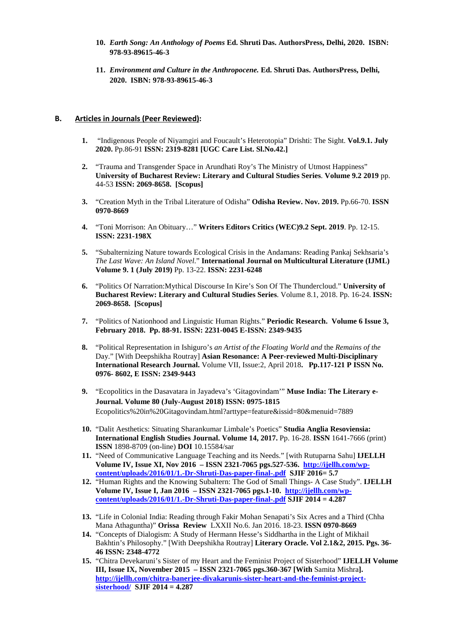- **10.** *Earth Song: An Anthology of Poems* **Ed. Shruti Das. AuthorsPress, Delhi, 2020. ISBN: 978-93-89615-46-3**
- **11.** *Environment and Culture in the Anthropocene.* **Ed. Shruti Das. AuthorsPress, Delhi, 2020. ISBN: 978-93-89615-46-3**

#### **B. Articles in Journals (Peer Reviewed):**

- **1.** "Indigenous People of Niyamgiri and Foucault's Heterotopia" Drishti: The Sight. **Vol.9.1. July 2020.** Pp.86-91 **ISSN: 2319-8281 [UGC Care List. Sl.No.42.]**
- **2.** "Trauma and Transgender Space in Arundhati Roy's The Ministry of Utmost Happiness" **University of Bucharest Review: Literary and Cultural Studies Series**. **Volume 9.2 2019** pp. 44-53 **ISSN: 2069-8658. [Scopus]**
- **3.** "Creation Myth in the Tribal Literature of Odisha" **Odisha Review. Nov. 2019.** Pp.66-70. **ISSN 0970-8669**
- **4.** "Toni Morrison: An Obituary…" **Writers Editors Critics (WEC)9.2 Sept. 2019**. Pp. 12-15. **ISSN: 2231-198X**
- **5.** "Subalternizing Nature towards Ecological Crisis in the Andamans: Reading Pankaj Sekhsaria's *The Last Wave: An Island Novel*." **International Journal on Multicultural Literature (IJML) Volume 9. 1 (July 2019)** Pp. 13-22. **ISSN: 2231-6248**
- **6.** "Politics Of Narration:Mythical Discourse In Kire's Son Of The Thundercloud." **University of Bucharest Review: Literary and Cultural Studies Series**. Volume 8.1, 2018. Pp. 16-24. **ISSN: 2069-8658. [Scopus]**
- **7.** "Politics of Nationhood and Linguistic Human Rights." **Periodic Research. Volume 6 Issue 3, February 2018. Pp. 88-91. ISSN: 2231-0045 E-ISSN: 2349-9435**
- **8.** "Political Representation in Ishiguro's *an Artist of the Floating World and* the *Remains of the*  Day." [With Deepshikha Routray] **Asian Resonance: A Peer-reviewed Multi-Disciplinary International Research Journal.** Volume VII, Issue:2, April 2018**. Pp.117-121 P ISSN No. 0976- 8602, E ISSN: 2349-9443**
- **9.** "Ecopolitics in the Dasavatara in Jayadeva's 'Gitagovindam'" **Muse India: The Literary e-Journal. Volume 80 (July-August 2018) ISSN: 0975-1815**  Ecopolitics%20in%20Gitagovindam.html?arttype=feature&issid=80&menuid=7889
- **10.** "Dalit Aesthetics: Situating Sharankumar Limbale's Poetics" **Studia Anglia Resoviensia: International English Studies Journal. Volume 14, 2017.** Pp. 16-28. **ISSN** 1641-7666 (print) **ISSN** 1898-8709 (on-line) **DOI** 10.15584/sar
- **11.** "Need of Communicative Language Teaching and its Needs." [with Rutuparna Sahu] **IJELLH Volume IV, Issue XI, Nov 2016 – ISSN 2321-7065 pgs.527-536. http://ijellh.com/wpcontent/uploads/2016/01/1.-Dr-Shruti-Das-paper-final-.pdf SJIF 2016= 5.7**
- **12.** "Human Rights and the Knowing Subaltern: The God of Small Things- A Case Study". **IJELLH Volume IV, Issue I, Jan 2016 – ISSN 2321-7065 pgs.1-10. http://ijellh.com/wpcontent/uploads/2016/01/1.-Dr-Shruti-Das-paper-final-.pdf SJIF 2014 = 4.287**
- **13.** "Life in Colonial India: Reading through Fakir Mohan Senapati's Six Acres and a Third (Chha Mana Athaguntha)" **Orissa Review** LXXII No.6. Jan 2016. 18-23. **ISSN 0970-8669**
- **14.** "Concepts of Dialogism: A Study of Hermann Hesse's Siddhartha in the Light of Mikhail Bakhtin's Philosophy." [With Deepshikha Routray] **Literary Oracle. Vol 2.1&2, 2015. Pgs. 36- 46 ISSN: 2348-4772**
- **15.** "Chitra Devekaruni's Sister of my Heart and the Feminist Project of Sisterhood" **IJELLH Volume III, Issue IX, November 2015 – ISSN 2321-7065 pgs.360-367 [With** Samita Mishra**]. http://ijellh.com/chitra-banerjee-divakarunis-sister-heart-and-the-feminist-projectsisterhood/ SJIF 2014 = 4.287**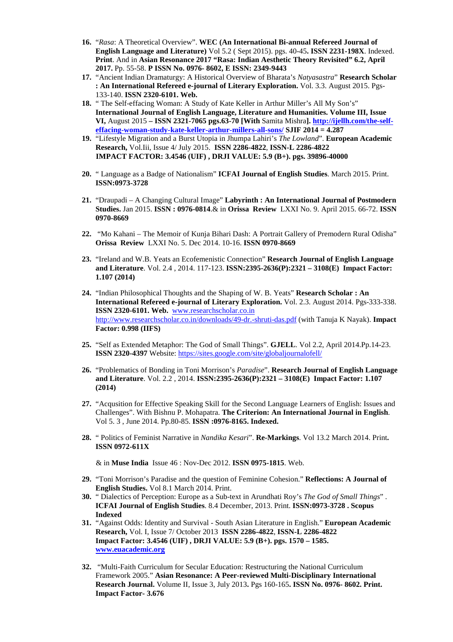- **16.** "*Rasa*: A Theoretical Overview". **WEC (An International Bi-annual Refereed Journal of English Language and Literature)** Vol 5.2 ( Sept 2015). pgs. 40-45**. ISSN 2231-198X**. Indexed. **Print**. And in **Asian Resonance 2017 "Rasa: Indian Aesthetic Theory Revisited" 6.2, April 2017.** Pp. 55-58. **P ISSN No. 0976- 8602, E ISSN: 2349-9443**
- **17.** "Ancient Indian Dramaturgy: A Historical Overview of Bharata's *Natyasastra*" **Research Scholar : An International Refereed e-journal of Literary Exploration.** Vol. 3.3. August 2015. Pgs-133-140. **ISSN 2320-6101. Web.**
- **18.** " The Self-effacing Woman: A Study of Kate Keller in Arthur Miller's All My Son's" **International Journal of English Language, Literature and Humanities. Volume III, Issue VI,** August 2015 **– ISSN 2321-7065 pgs.63-70 [With** Samita Mishra**]. http://ijellh.com/the-selfeffacing-woman-study-kate-keller-arthur-millers-all-sons/ SJIF 2014 = 4.287**
- **19.** "Lifestyle Migration and a Burst Utopia in Jhumpa Lahiri's *The Lowland*". **European Academic Research,** Vol.Iii, Issue 4/ July 2015. **ISSN 2286-4822**, **ISSN-L 2286-4822 IMPACT FACTOR: 3.4546 (UIF) , DRJI VALUE: 5.9 (B+). pgs. 39896-40000**
- **20.** " Language as a Badge of Nationalism" **ICFAI Journal of English Studies**. March 2015. Print. **ISSN:0973-3728**
- **21.** "Draupadi A Changing Cultural Image" **Labyrinth : An International Journal of Postmodern Studies.** Jan 2015. **ISSN : 0976-0814**.& in **Orissa Review** LXXI No. 9. April 2015. 66-72. **ISSN 0970-8669**
- **22.** "Mo Kahani The Memoir of Kunja Bihari Dash: A Portrait Gallery of Premodern Rural Odisha" **Orissa Review** LXXI No. 5. Dec 2014. 10-16. **ISSN 0970-8669**
- **23.** "Ireland and W.B. Yeats an Ecofemenistic Connection" **Research Journal of English Language and Literature**. Vol. 2.4 , 2014. 117-123. **ISSN:2395-2636(P):2321 – 3108(E) Impact Factor: 1.107 (2014)**
- **24.** "Indian Philosophical Thoughts and the Shaping of W. B. Yeats" **Research Scholar : An International Refereed e-journal of Literary Exploration.** Vol. 2.3. August 2014. Pgs-333-338. **ISSN 2320-6101. Web.** www.researchscholar.co.in http://www.researchscholar.co.in/downloads/49-dr.-shruti-das.pdf (with Tanuja K Nayak). **Impact Factor: 0.998 (IIFS)**
- **25.** "Self as Extended Metaphor: The God of Small Things". **GJELL**. Vol 2.2, April 2014.Pp.14-23. **ISSN 2320-4397** Website: https://sites.google.com/site/globaljournalofell/
- **26.** "Problematics of Bonding in Toni Morrison's *Paradise*". **Research Journal of English Language and Literature**. Vol. 2.2 , 2014. **ISSN:2395-2636(P):2321 – 3108(E) Impact Factor: 1.107 (2014)**
- **27.** "Acqusition for Effective Speaking Skill for the Second Language Learners of English: Issues and Challenges". With Bishnu P. Mohapatra. **The Criterion: An International Journal in English**. Vol 5. 3 , June 2014. Pp.80-85. **ISSN :0976-8165. Indexed.**
- **28.** " Politics of Feminist Narrative in *Nandika Kesari*". **Re-Markings**. Vol 13.2 March 2014. Print**. ISSN 0972-611X**

& in **Muse India** Issue 46 : Nov-Dec 2012. **ISSN 0975-1815**. Web.

- **29.** "Toni Morrison's Paradise and the question of Feminine Cohesion." **Reflections: A Journal of English Studies.** Vol 8.1 March 2014. Print.
- **30.** " Dialectics of Perception: Europe as a Sub-text in Arundhati Roy's *The God of Small Things*" . **ICFAI Journal of English Studies**. 8.4 December, 2013. Print. **ISSN:0973-3728 . Scopus Indexed**
- **31.** "Against Odds: Identity and Survival South Asian Literature in English." **European Academic Research,** Vol. I, Issue 7/ October 2013 **ISSN 2286-4822**, **ISSN-L 2286-4822 Impact Factor: 3.4546 (UIF) , DRJI VALUE: 5.9 (B+). pgs. 1570 – 1585. www.euacademic.org**
- **32.** "Multi-Faith Curriculum for Secular Education: Restructuring the National Curriculum Framework 2005." **Asian Resonance: A Peer-reviewed Multi-Disciplinary International Research Journal.** Volume II, Issue 3, July 2013**.** Pgs 160-165**. ISSN No. 0976- 8602. Print. Impact Factor- 3.676**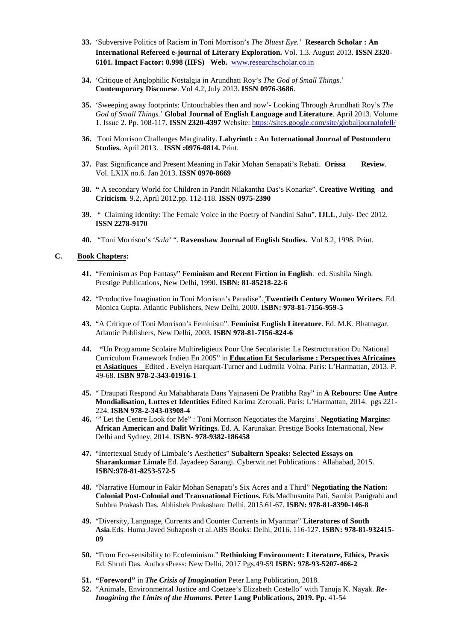- **33.** 'Subversive Politics of Racism in Toni Morrison's *The Bluest Eye.'* **Research Scholar : An International Refereed e-journal of Literary Exploration.** Vol. 1.3. August 2013. **ISSN 2320- 6101. Impact Factor: 0.998 (IIFS) Web.** www.researchscholar.co.in
- **34.** 'Critique of Anglophilic Nostalgia in Arundhati Roy's *The God of Small Things*.' **Contemporary Discourse**. Vol 4.2, July 2013. **ISSN 0976-3686**.
- **35.** 'Sweeping away footprints: Untouchables then and now'- Looking Through Arundhati Roy's *The God of Small Things.*' **Global Journal of English Language and Literature**. April 2013. Volume 1. Issue 2. Pp. 108-117. **ISSN 2320-4397** Website: https://sites.google.com/site/globaljournalofell/
- **36.** Toni Morrison Challenges Marginality. **Labyrinth : An International Journal of Postmodern Studies.** April 2013. . **ISSN :0976-0814.** Print.
- **37.** Past Significance and Present Meaning in Fakir Mohan Senapati's Rebati. **Orissa Review**. Vol. LXIX no.6. Jan 2013. **ISSN 0970-8669**
- **38. "** A secondary World for Children in Pandit Nilakantha Das's Konarke". **Creative Writing and Criticism**. 9.2, April 2012.pp. 112-118. **ISSN 0975-2390**
- **39.** " Claiming Identity: The Female Voice in the Poetry of Nandini Sahu". **IJLL**, July- Dec 2012. **ISSN 2278-9170**
- **40.** "Toni Morrison's '*Sula*' ". **Ravenshaw Journal of English Studies.** Vol 8.2, 1998. Print.

#### **C. Book Chapters:**

- **41.** "Feminism as Pop Fantasy" **Feminism and Recent Fiction in English**. ed. Sushila Singh. Prestige Publications, New Delhi, 1990. **ISBN: 81-85218-22-6**
- **42.** "Productive Imagination in Toni Morrison's Paradise". **Twentieth Century Women Writers**. Ed. Monica Gupta. Atlantic Publishers, New Delhi, 2000. **ISBN: 978-81-7156-959-5**
- **43.** "A Critique of Toni Morrison's Feminism". **Feminist English Literature**. Ed. M.K. Bhatnagar. Atlantic Publishers, New Delhi, 2003. **ISBN 978-81-7156-824-6**
- **44. "**Un Programme Scolaire Multireligieux Pour Une Seculariste: La Restructuration Du National Curriculum Framework Indien En 2005" in **Education Et Secularisme : Perspectives Africaines et Asiatiques** Edited . Evelyn Harquart-Turner and Ludmila Volna. Paris: L'Harmattan, 2013. P. 49-68. **ISBN 978-2-343-01916-1**
- **45.** " Draupati Respond Au Mahabharata Dans Yajnaseni De Pratibha Ray" in **A Rebours: Une Autre Mondialisation, Luttes et Identities** Edited Karima Zerouali. Paris: L'Harmattan, 2014. pgs 221- 224. **ISBN 978-2-343-03908-4**
- **46.** '" Let the Centre Look for Me" : Toni Morrison Negotiates the Margins'. **Negotiating Margins: African American and Dalit Writings.** Ed. A. Karunakar. Prestige Books International, New Delhi and Sydney, 2014. **ISBN- 978-9382-186458**
- **47.** "Intertexual Study of Limbale's Aesthetics" **Subaltern Speaks: Selected Essays on Sharankumar Limale** Ed. Jayadeep Sarangi. Cyberwit.net Publications : Allahabad, 2015. **ISBN:978-81-8253-572-5**
- **48.** "Narrative Humour in Fakir Mohan Senapati's Six Acres and a Third" **Negotiating the Nation: Colonial Post-Colonial and Transnational Fictions.** Eds.Madhusmita Pati, Sambit Panigrahi and Subhra Prakash Das. Abhishek Prakashan: Delhi, 2015.61-67. **ISBN: 978-81-8390-146-8**
- **49.** "Diversity, Language, Currents and Counter Currents in Myanmar" **Literatures of South Asia**.Eds. Huma Javed Subzposh et al.ABS Books: Delhi, 2016. 116-127. **ISBN: 978-81-932415- 09**
- **50.** "From Eco-sensibility to Ecofeminism." **Rethinking Environment: Literature, Ethics, Praxis**  Ed. Shruti Das. AuthorsPress: New Delhi, 2017 Pgs.49-59 **ISBN: 978-93-5207-466-2**
- **51. "Foreword"** in *The Crisis of Imagination* Peter Lang Publication, 2018.
- **52.** "Animals, Environmental Justice and Coetzee's Elizabeth Costello" with Tanuja K. Nayak. *Re-Imagining the Limits of the Humans.* **Peter Lang Publications, 2019. Pp.** 41-54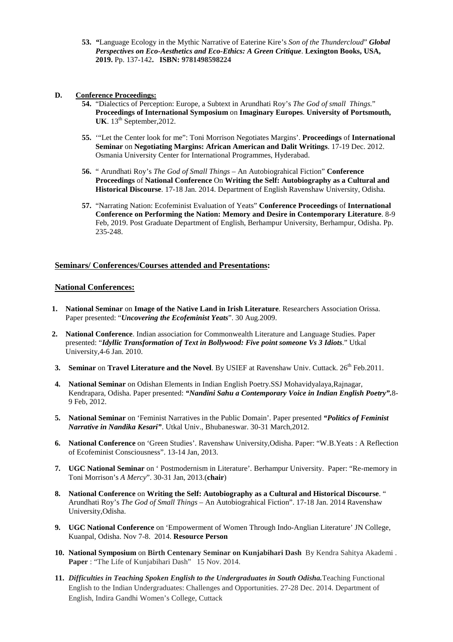**53.** *"*Language Ecology in the Mythic Narrative of Eaterine Kire's *Son of the Thundercloud*" *Global Perspectives on Eco-Aesthetics and Eco-Ethics: A Green Critique*. **Lexington Books, USA, 2019.** Pp. 137-142**. ISBN: 9781498598224**

#### **D. Conference Proceedings:**

- **54.** "Dialectics of Perception: Europe, a Subtext in Arundhati Roy's *The God of small Things*." **Proceedings of International Symposium** on **Imaginary Europes**. **University of Portsmouth,**  UK.  $13<sup>th</sup>$  September, 2012.
- **55.** '"Let the Center look for me": Toni Morrison Negotiates Margins'. **Proceedings** of **International Seminar** on **Negotiating Margins: African American and Dalit Writings**. 17-19 Dec. 2012. Osmania University Center for International Programmes, Hyderabad.
- **56.** " Arundhati Roy's *The God of Small Things* An Autobiograhical Fiction" **Conference Proceedings** of **National Conference** On **Writing the Self: Autobiography as a Cultural and Historical Discourse**. 17-18 Jan. 2014. Department of English Ravenshaw University, Odisha.
- **57.** "Narrating Nation: Ecofeminist Evaluation of Yeats" **Conference Proceedings** of **International Conference on Performing the Nation: Memory and Desire in Contemporary Literature**. 8-9 Feb, 2019. Post Graduate Department of English, Berhampur University, Berhampur, Odisha. Pp. 235-248.

## **Seminars/ Conferences/Courses attended and Presentations:**

#### **National Conferences:**

- **1. National Seminar** on **Image of the Native Land in Irish Literature**. Researchers Association Orissa. Paper presented: "*Uncovering the Ecofeminist Yeats*". 30 Aug.2009.
- **2. National Conference**. Indian association for Commonwealth Literature and Language Studies. Paper presented: "*Idyllic Transformation of Text in Bollywood: Five point someone Vs 3 Idiots*." Utkal University,4-6 Jan. 2010.
- **3. Seminar** on **Travel Literature and the Novel**. By USIEF at Ravenshaw Univ. Cuttack. 26<sup>th</sup> Feb.2011.
- **4. National Seminar** on Odishan Elements in Indian English Poetry.SSJ Mohavidyalaya,Rajnagar, Kendrapara, Odisha. Paper presented: *"Nandini Sahu a Contemporary Voice in Indian English Poetry".*8- 9 Feb, 2012.
- **5. National Seminar** on 'Feminist Narratives in the Public Domain'. Paper presented *"Politics of Feminist Narrative in Nandika Kesari"*. Utkal Univ., Bhubaneswar. 30-31 March,2012.
- **6. National Conference** on 'Green Studies'. Ravenshaw University,Odisha. Paper: "W.B.Yeats : A Reflection of Ecofeminist Consciousness". 13-14 Jan, 2013.
- **7. UGC National Seminar** on ' Postmodernism in Literature'. Berhampur University. Paper: "Re-memory in Toni Morrison's *A Mercy*". 30-31 Jan, 2013.(**chair**)
- **8. National Conference** on **Writing the Self: Autobiography as a Cultural and Historical Discourse**. " Arundhati Roy's *The God of Small Things* – An Autobiograhical Fiction". 17-18 Jan. 2014 Ravenshaw University,Odisha.
- **9. UGC National Conference** on 'Empowerment of Women Through Indo-Anglian Literature' JN College, Kuanpal, Odisha. Nov 7-8. 2014. **Resource Person**
- **10. National Symposium** on **Birth Centenary Seminar on Kunjabihari Dash** By Kendra Sahitya Akademi . Paper : "The Life of Kunjabihari Dash" 15 Nov. 2014.
- **11.** *Difficulties in Teaching Spoken English to the Undergraduates in South Odisha.*Teaching Functional English to the Indian Undergraduates: Challenges and Opportunities. 27-28 Dec. 2014. Department of English, Indira Gandhi Women's College, Cuttack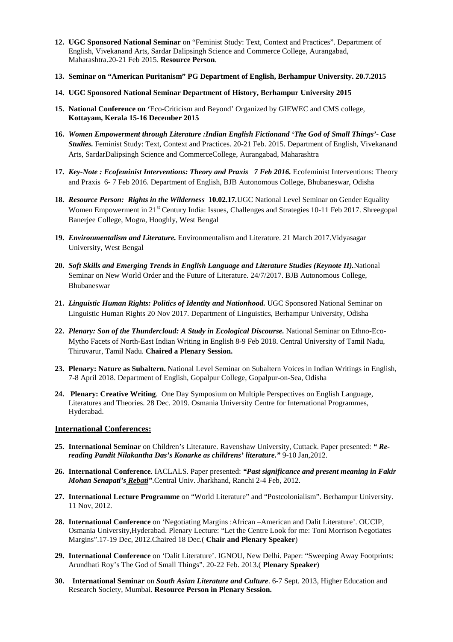- **12. UGC Sponsored National Seminar** on "Feminist Study: Text, Context and Practices". Department of English, Vivekanand Arts, Sardar Dalipsingh Science and Commerce College, Aurangabad, Maharashtra.20-21 Feb 2015. **Resource Person**.
- **13. Seminar on "American Puritanism" PG Department of English, Berhampur University. 20.7.2015**
- **14. UGC Sponsored National Seminar Department of History, Berhampur University 2015**
- **15. National Conference on '**Eco-Criticism and Beyond' Organized by GIEWEC and CMS college, **Kottayam, Kerala 15-16 December 2015**
- **16.** *Women Empowerment through Literature :Indian English Fictionand 'The God of Small Things'- Case Studies.* Feminist Study: Text, Context and Practices. 20-21 Feb. 2015. Department of English, Vivekanand Arts, SardarDalipsingh Science and CommerceCollege, Aurangabad, Maharashtra
- **17.** *Key-Note : Ecofeminist Interventions: Theory and Praxis 7 Feb 2016.* Ecofeminist Interventions: Theory and Praxis 6- 7 Feb 2016. Department of English, BJB Autonomous College, Bhubaneswar, Odisha
- **18.** *Resource Person: Rights in the Wilderness* **10.02.17***.*UGC National Level Seminar on Gender Equality Women Empowerment in 21<sup>st</sup> Century India: Issues, Challenges and Strategies 10-11 Feb 2017. Shreegopal Banerjee College, Mogra, Hooghly, West Bengal
- **19.** *Environmentalism and Literature.* Environmentalism and Literature. 21 March 2017.Vidyasagar University, West Bengal
- **20.** *Soft Skills and Emerging Trends in English Language and Literature Studies (Keynote II).*National Seminar on New World Order and the Future of Literature. 24/7/2017. BJB Autonomous College, Bhubaneswar
- **21.** *Linguistic Human Rights: Politics of Identity and Nationhood.* UGC Sponsored National Seminar on Linguistic Human Rights 20 Nov 2017. Department of Linguistics, Berhampur University, Odisha
- **22.** *Plenary: Son of the Thundercloud: A Study in Ecological Discourse.* National Seminar on Ethno-Eco-Mytho Facets of North-East Indian Writing in English 8-9 Feb 2018. Central University of Tamil Nadu, Thiruvarur, Tamil Nadu. **Chaired a Plenary Session.**
- **23. Plenary: Nature as Subaltern.** National Level Seminar on Subaltern Voices in Indian Writings in English, 7-8 April 2018. Department of English, Gopalpur College, Gopalpur-on-Sea, Odisha
- **24. Plenary: Creative Writing**. One Day Symposium on Multiple Perspectives on English Language, Literatures and Theories. 28 Dec. 2019. Osmania University Centre for International Programmes, Hyderabad.

## **International Conferences:**

- **25. International Seminar** on Children's Literature. Ravenshaw University, Cuttack. Paper presented: *" Rereading Pandit Nilakantha Das's Konarke as childrens' literature."* 9-10 Jan,2012.
- **26. International Conference**. IACLALS. Paper presented: *"Past significance and present meaning in Fakir Mohan Senapati's Rebati"*.Central Univ. Jharkhand, Ranchi 2-4 Feb, 2012.
- **27. International Lecture Programme** on "World Literature" and "Postcolonialism". Berhampur University. 11 Nov, 2012.
- **28. International Conference** on 'Negotiating Margins :African –American and Dalit Literature'. OUCIP, Osmania University,Hyderabad. Plenary Lecture: "Let the Centre Look for me: Toni Morrison Negotiates Margins".17-19 Dec, 2012.Chaired 18 Dec.( **Chair and Plenary Speaker**)
- **29. International Conference** on 'Dalit Literature'. IGNOU, New Delhi. Paper: "Sweeping Away Footprints: Arundhati Roy's The God of Small Things". 20-22 Feb. 2013.( **Plenary Speaker**)
- **30. International Seminar** on *South Asian Literature and Culture*. 6-7 Sept. 2013, Higher Education and Research Society, Mumbai. **Resource Person in Plenary Session.**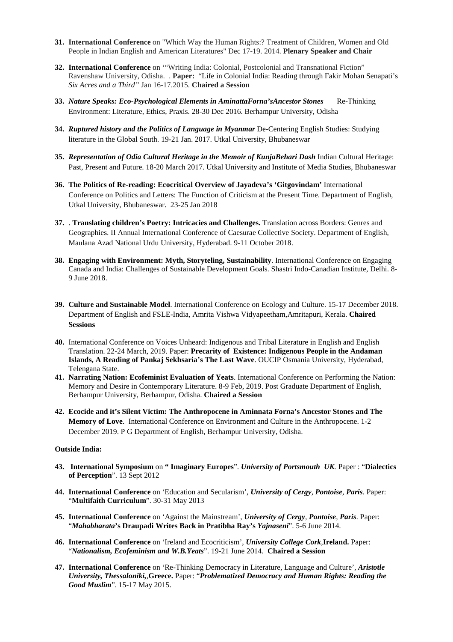- **31. International Conference** on "Which Way the Human Rights:? Treatment of Children, Women and Old People in Indian English and American Literatures" Dec 17-19. 2014. **Plenary Speaker and Chair**
- **32. International Conference** on '"Writing India: Colonial, Postcolonial and Transnational Fiction" Ravenshaw University, Odisha. . **Paper:** "Life in Colonial India: Reading through Fakir Mohan Senapati's *Six Acres and a Third"* Jan 16-17.2015. **Chaired a Session**
- **33.** *Nature Speaks: Eco-Psychological Elements in AminattaForna'sAncestor Stones* Re-Thinking Environment: Literature, Ethics, Praxis. 28-30 Dec 2016. Berhampur University, Odisha
- **34.** *Ruptured history and the Politics of Language in Myanmar* De-Centering English Studies: Studying literature in the Global South. 19-21 Jan. 2017. Utkal University, Bhubaneswar
- **35.** *Representation of Odia Cultural Heritage in the Memoir of KunjaBehari Dash* Indian Cultural Heritage: Past, Present and Future. 18-20 March 2017. Utkal University and Institute of Media Studies, Bhubaneswar
- **36. The Politics of Re-reading: Ecocritical Overview of Jayadeva's 'Gitgovindam'** International Conference on Politics and Letters: The Function of Criticism at the Present Time. Department of English, Utkal University, Bhubaneswar. 23-25 Jan 2018
- **37.** . **Translating children's Poetry: Intricacies and Challenges.** Translation across Borders: Genres and Geographies. II Annual International Conference of Caesurae Collective Society. Department of English, Maulana Azad National Urdu University, Hyderabad. 9-11 October 2018.
- **38. Engaging with Environment: Myth, Storyteling, Sustainability**. International Conference on Engaging Canada and India: Challenges of Sustainable Development Goals. Shastri Indo-Canadian Institute, Delhi. 8- 9 June 2018.
- **39. Culture and Sustainable Model**. International Conference on Ecology and Culture. 15-17 December 2018. Department of English and FSLE-India, Amrita Vishwa Vidyapeetham,Amritapuri, Kerala. **Chaired Sessions**
- **40.** International Conference on Voices Unheard: Indigenous and Tribal Literature in English and English Translation. 22-24 March, 2019. Paper: **Precarity of Existence: Indigenous People in the Andaman Islands, A Reading of Pankaj Sekhsaria's The Last Wave**. OUCIP Osmania University, Hyderabad, Telengana State.
- **41. Narrating Nation: Ecofeminist Evaluation of Yeats**. International Conference on Performing the Nation: Memory and Desire in Contemporary Literature. 8-9 Feb, 2019. Post Graduate Department of English, Berhampur University, Berhampur, Odisha. **Chaired a Session**
- **42. Ecocide and it's Silent Victim: The Anthropocene in Aminnata Forna's Ancestor Stones and The Memory of Love**. International Conference on Environment and Culture in the Anthropocene. 1-2 December 2019. P G Department of English, Berhampur University, Odisha.

#### **Outside India:**

- **43. International Symposium** on **" Imaginary Europes**". *University of Portsmouth UK.* Paper : "**Dialectics of Perception**". 13 Sept 2012
- **44. International Conference** on 'Education and Secularism', *University of Cergy, Pontoise, Paris*. Paper: "**Multifaith Curriculum**". 30-31 May 2013
- **45. International Conference** on 'Against the Mainstream', *University of Cergy, Pontoise, Paris*. Paper: "*Mahabharata***'s Draupadi Writes Back in Pratibha Ray's** *Yajnaseni*". 5-6 June 2014.
- **46. International Conference** on 'Ireland and Ecocriticism', *University College Cork,***Ireland.** Paper: "*Nationalism, Ecofeminism and W.B.Yeats*". 19-21 June 2014. **Chaired a Session**
- **47. International Conference** on 'Re-Thinking Democracy in Literature, Language and Culture', *Aristotle University, Thessaloniki,,***Greece.** Paper: "*Problematized Democracy and Human Rights: Reading the Good Muslim*". 15-17 May 2015.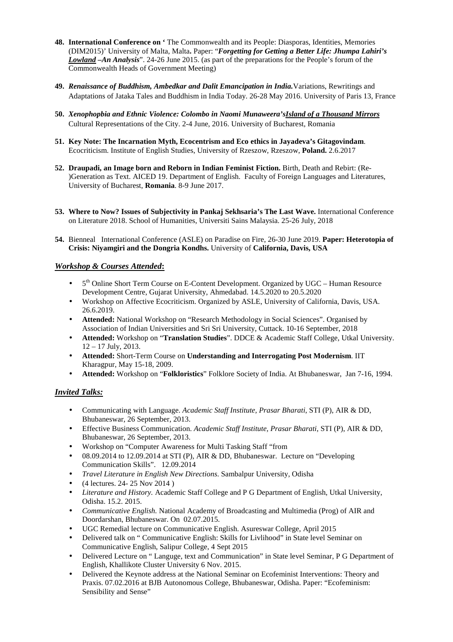- **48. International Conference on '** The Commonwealth and its People: Diasporas, Identities, Memories (DIM2015)' University of Malta, Malta**.** Paper: "*Forgetting for Getting a Better Life: Jhumpa Lahiri's Lowland –An Analysis*". 24-26 June 2015. (as part of the preparations for the People's forum of the Commonwealth Heads of Government Meeting)
- **49.** *Renaissance of Buddhism, Ambedkar and Dalit Emancipation in India.*Variations, Rewritings and Adaptations of Jataka Tales and Buddhism in India Today. 26-28 May 2016. University of Paris 13, France
- **50.** *Xenophopbia and Ethnic Violence: Colombo in Naomi Munaweera'sIsland of a Thousand Mirrors*  Cultural Representations of the City. 2-4 June, 2016. University of Bucharest, Romania
- **51. Key Note: The Incarnation Myth, Ecocentrism and Eco ethics in Jayadeva's Gitagovindam**. Ecocriticism. Institute of English Studies, University of Rzeszow, Rzeszow, **Poland.** 2.6.2017
- **52. Draupadi, an Image born and Reborn in Indian Feminist Fiction.** Birth, Death and Rebirt: (Re- )Generation as Text. AICED 19. Department of English. Faculty of Foreign Languages and Literatures, University of Bucharest, **Romania**. 8-9 June 2017.
- **53. Where to Now? Issues of Subjectivity in Pankaj Sekhsaria's The Last Wave.** International Conference on Literature 2018. School of Humanities, Universiti Sains Malaysia. 25-26 July, 2018
- **54.** Bienneal International Conference (ASLE) on Paradise on Fire, 26-30 June 2019. **Paper: Heterotopia of Crisis: Niyamgiri and the Dongria Kondhs.** University of **California, Davis, USA**

## *Workshop & Courses Attended***:**

- $\bullet$  5<sup>th</sup> Online Short Term Course on E-Content Development. Organized by UGC Human Resource Development Centre, Gujarat University, Ahmedabad. 14.5.2020 to 20.5.2020
- Workshop on Affective Ecocriticism. Organized by ASLE, University of California, Davis, USA. 26.6.2019.
- **Attended:** National Workshop on "Research Methodology in Social Sciences". Organised by Association of Indian Universities and Sri Sri University, Cuttack. 10-16 September, 2018
- **Attended:** Workshop on "**Translation Studies**". DDCE & Academic Staff College, Utkal University. 12 – 17 July, 2013.
- **Attended:** Short-Term Course on **Understanding and Interrogating Post Modernism**. IIT Kharagpur, May 15-18, 2009.
- **Attended:** Workshop on "**Folkloristics**" Folklore Society of India. At Bhubaneswar, Jan 7-16, 1994.

## *Invited Talks:*

- Communicating with Language. *Academic Staff Institute, Prasar Bharati*, STI (P), AIR & DD, Bhubaneswar, 26 September, 2013.
- Effective Business Communication. *Academic Staff Institute, Prasar Bharati*, STI (P), AIR & DD, Bhubaneswar, 26 September, 2013.
- Workshop on "Computer Awareness for Multi Tasking Staff "from
- 08.09.2014 to 12.09.2014 at STI (P), AIR & DD, Bhubaneswar. Lecture on "Developing Communication Skills". 12.09.2014
- *Travel Literature in English New Directions*. Sambalpur University, Odisha
- (4 lectures. 24- 25 Nov 2014 )
- *Literature and History.* Academic Staff College and P G Department of English, Utkal University, Odisha. 15.2. 2015.
- *Communicative English.* National Academy of Broadcasting and Multimedia (Prog) of AIR and Doordarshan, Bhubaneswar. On 02.07.2015.
- UGC Remedial lecture on Communicative English. Asureswar College, April 2015
- Delivered talk on " Communicative English: Skills for Livlihood" in State level Seminar on Communicative English, Salipur College, 4 Sept 2015
- Delivered Lecture on " Languge, text and Communication" in State level Seminar, P G Department of English, Khallikote Cluster University 6 Nov. 2015.
- Delivered the Keynote address at the National Seminar on Ecofeminist Interventions: Theory and Praxis. 07.02.2016 at BJB Autonomous College, Bhubaneswar, Odisha. Paper: "Ecofeminism: Sensibility and Sense"